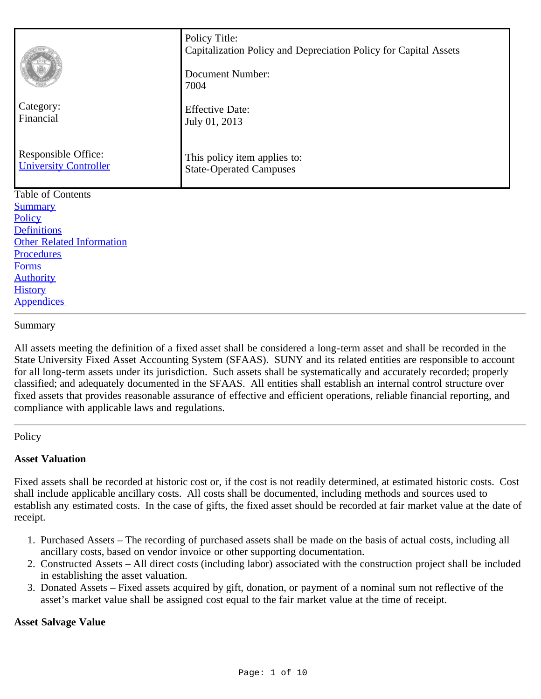| Category:<br>Financial<br>Responsible Office:<br><b>University Controller</b> | Policy Title:<br>Capitalization Policy and Depreciation Policy for Capital Assets<br>Document Number:<br>7004<br><b>Effective Date:</b><br>July 01, 2013<br>This policy item applies to: |  |  |  |
|-------------------------------------------------------------------------------|------------------------------------------------------------------------------------------------------------------------------------------------------------------------------------------|--|--|--|
|                                                                               | <b>State-Operated Campuses</b>                                                                                                                                                           |  |  |  |
| Table of Contents                                                             |                                                                                                                                                                                          |  |  |  |
| <b>Summary</b><br>Policy                                                      |                                                                                                                                                                                          |  |  |  |
| <b>Definitions</b>                                                            |                                                                                                                                                                                          |  |  |  |
| <b>Other Related Information</b>                                              |                                                                                                                                                                                          |  |  |  |
| Procedures                                                                    |                                                                                                                                                                                          |  |  |  |
| <b>Forms</b>                                                                  |                                                                                                                                                                                          |  |  |  |
| <b>Authority</b>                                                              |                                                                                                                                                                                          |  |  |  |
| <b>History</b>                                                                |                                                                                                                                                                                          |  |  |  |
| <b>Appendices</b>                                                             |                                                                                                                                                                                          |  |  |  |

#### <span id="page-0-0"></span>Summary

All assets meeting the definition of a fixed asset shall be considered a long-term asset and shall be recorded in the State University Fixed Asset Accounting System (SFAAS). SUNY and its related entities are responsible to account for all long-term assets under its jurisdiction. Such assets shall be systematically and accurately recorded; properly classified; and adequately documented in the SFAAS. All entities shall establish an internal control structure over fixed assets that provides reasonable assurance of effective and efficient operations, reliable financial reporting, and compliance with applicable laws and regulations.

#### <span id="page-0-1"></span>**Policy**

#### **Asset Valuation**

Fixed assets shall be recorded at historic cost or, if the cost is not readily determined, at estimated historic costs. Cost shall include applicable ancillary costs. All costs shall be documented, including methods and sources used to establish any estimated costs. In the case of gifts, the fixed asset should be recorded at fair market value at the date of receipt.

- 1. Purchased Assets The recording of purchased assets shall be made on the basis of actual costs, including all ancillary costs, based on vendor invoice or other supporting documentation.
- 2. Constructed Assets All direct costs (including labor) associated with the construction project shall be included in establishing the asset valuation.
- 3. Donated Assets Fixed assets acquired by gift, donation, or payment of a nominal sum not reflective of the asset's market value shall be assigned cost equal to the fair market value at the time of receipt.

### **Asset Salvage Value**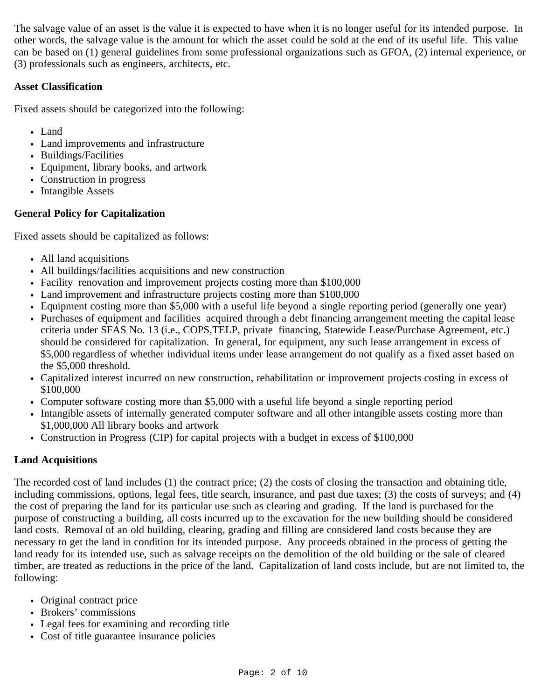The salvage value of an asset is the value it is expected to have when it is no longer useful for its intended purpose. In other words, the salvage value is the amount for which the asset could be sold at the end of its useful life. This value can be based on (1) general guidelines from some professional organizations such as GFOA, (2) internal experience, or (3) professionals such as engineers, architects, etc.

# **Asset Classification**

Fixed assets should be categorized into the following:

- Land
- Land improvements and infrastructure
- Buildings/Facilities
- Equipment, library books, and artwork
- Construction in progress
- Intangible Assets

# **General Policy for Capitalization**

Fixed assets should be capitalized as follows:

- All land acquisitions
- All buildings/facilities acquisitions and new construction
- Facility renovation and improvement projects costing more than \$100,000
- Land improvement and infrastructure projects costing more than \$100,000
- Equipment costing more than \$5,000 with a useful life beyond a single reporting period (generally one year)
- Purchases of equipment and facilities acquired through a debt financing arrangement meeting the capital lease criteria under SFAS No. 13 (i.e., COPS,TELP, private financing, Statewide Lease/Purchase Agreement, etc.) should be considered for capitalization. In general, for equipment, any such lease arrangement in excess of \$5,000 regardless of whether individual items under lease arrangement do not qualify as a fixed asset based on the \$5,000 threshold.
- Capitalized interest incurred on new construction, rehabilitation or improvement projects costing in excess of \$100,000
- Computer software costing more than \$5,000 with a useful life beyond a single reporting period
- Intangible assets of internally generated computer software and all other intangible assets costing more than \$1,000,000 All library books and artwork
- Construction in Progress (CIP) for capital projects with a budget in excess of \$100,000

## **Land Acquisitions**

The recorded cost of land includes (1) the contract price; (2) the costs of closing the transaction and obtaining title, including commissions, options, legal fees, title search, insurance, and past due taxes; (3) the costs of surveys; and (4) the cost of preparing the land for its particular use such as clearing and grading. If the land is purchased for the purpose of constructing a building, all costs incurred up to the excavation for the new building should be considered land costs. Removal of an old building, clearing, grading and filling are considered land costs because they are necessary to get the land in condition for its intended purpose. Any proceeds obtained in the process of getting the land ready for its intended use, such as salvage receipts on the demolition of the old building or the sale of cleared timber, are treated as reductions in the price of the land. Capitalization of land costs include, but are not limited to, the following:

- Original contract price
- Brokers' commissions
- Legal fees for examining and recording title
- Cost of title guarantee insurance policies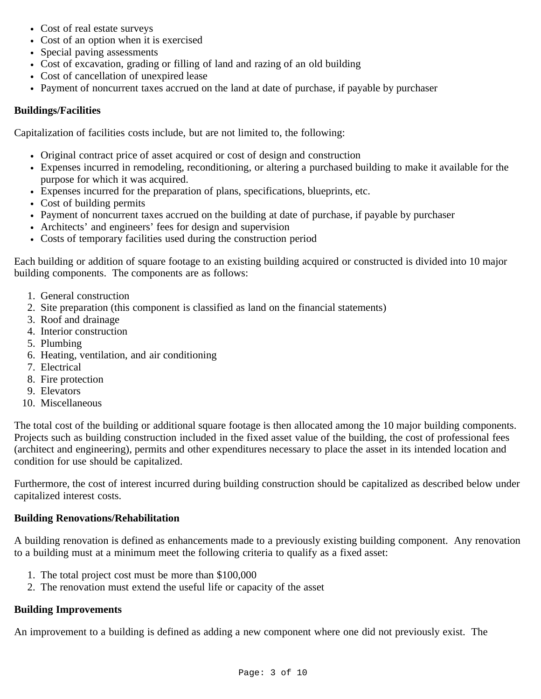- Cost of real estate surveys
- Cost of an option when it is exercised
- Special paving assessments
- Cost of excavation, grading or filling of land and razing of an old building
- Cost of cancellation of unexpired lease
- Payment of noncurrent taxes accrued on the land at date of purchase, if payable by purchaser

### **Buildings/Facilities**

Capitalization of facilities costs include, but are not limited to, the following:

- Original contract price of asset acquired or cost of design and construction
- Expenses incurred in remodeling, reconditioning, or altering a purchased building to make it available for the purpose for which it was acquired.
- Expenses incurred for the preparation of plans, specifications, blueprints, etc.
- Cost of building permits
- Payment of noncurrent taxes accrued on the building at date of purchase, if payable by purchaser
- Architects' and engineers' fees for design and supervision
- Costs of temporary facilities used during the construction period

Each building or addition of square footage to an existing building acquired or constructed is divided into 10 major building components. The components are as follows:

- 1. General construction
- 2. Site preparation (this component is classified as land on the financial statements)
- 3. Roof and drainage
- 4. Interior construction
- 5. Plumbing
- 6. Heating, ventilation, and air conditioning
- 7. Electrical
- 8. Fire protection
- 9. Elevators
- 10. Miscellaneous

The total cost of the building or additional square footage is then allocated among the 10 major building components. Projects such as building construction included in the fixed asset value of the building, the cost of professional fees (architect and engineering), permits and other expenditures necessary to place the asset in its intended location and condition for use should be capitalized.

Furthermore, the cost of interest incurred during building construction should be capitalized as described below under capitalized interest costs.

### **Building Renovations/Rehabilitation**

A building renovation is defined as enhancements made to a previously existing building component. Any renovation to a building must at a minimum meet the following criteria to qualify as a fixed asset:

- 1. The total project cost must be more than \$100,000
- 2. The renovation must extend the useful life or capacity of the asset

### **Building Improvements**

An improvement to a building is defined as adding a new component where one did not previously exist. The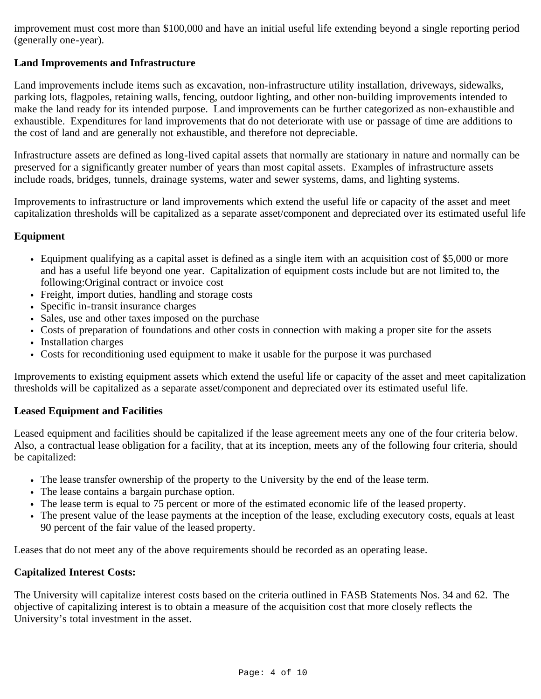improvement must cost more than \$100,000 and have an initial useful life extending beyond a single reporting period (generally one-year).

### **Land Improvements and Infrastructure**

Land improvements include items such as excavation, non-infrastructure utility installation, driveways, sidewalks, parking lots, flagpoles, retaining walls, fencing, outdoor lighting, and other non-building improvements intended to make the land ready for its intended purpose. Land improvements can be further categorized as non-exhaustible and exhaustible. Expenditures for land improvements that do not deteriorate with use or passage of time are additions to the cost of land and are generally not exhaustible, and therefore not depreciable.

Infrastructure assets are defined as long-lived capital assets that normally are stationary in nature and normally can be preserved for a significantly greater number of years than most capital assets. Examples of infrastructure assets include roads, bridges, tunnels, drainage systems, water and sewer systems, dams, and lighting systems.

Improvements to infrastructure or land improvements which extend the useful life or capacity of the asset and meet capitalization thresholds will be capitalized as a separate asset/component and depreciated over its estimated useful life

### **Equipment**

- Equipment qualifying as a capital asset is defined as a single item with an acquisition cost of \$5,000 or more and has a useful life beyond one year. Capitalization of equipment costs include but are not limited to, the following:Original contract or invoice cost
- Freight, import duties, handling and storage costs
- Specific in-transit insurance charges
- Sales, use and other taxes imposed on the purchase
- Costs of preparation of foundations and other costs in connection with making a proper site for the assets
- Installation charges
- Costs for reconditioning used equipment to make it usable for the purpose it was purchased

Improvements to existing equipment assets which extend the useful life or capacity of the asset and meet capitalization thresholds will be capitalized as a separate asset/component and depreciated over its estimated useful life.

### **Leased Equipment and Facilities**

Leased equipment and facilities should be capitalized if the lease agreement meets any one of the four criteria below. Also, a contractual lease obligation for a facility, that at its inception, meets any of the following four criteria, should be capitalized:

- The lease transfer ownership of the property to the University by the end of the lease term.
- The lease contains a bargain purchase option.
- The lease term is equal to 75 percent or more of the estimated economic life of the leased property.
- The present value of the lease payments at the inception of the lease, excluding executory costs, equals at least 90 percent of the fair value of the leased property.

Leases that do not meet any of the above requirements should be recorded as an operating lease.

### **Capitalized Interest Costs:**

The University will capitalize interest costs based on the criteria outlined in FASB Statements Nos. 34 and 62. The objective of capitalizing interest is to obtain a measure of the acquisition cost that more closely reflects the University's total investment in the asset.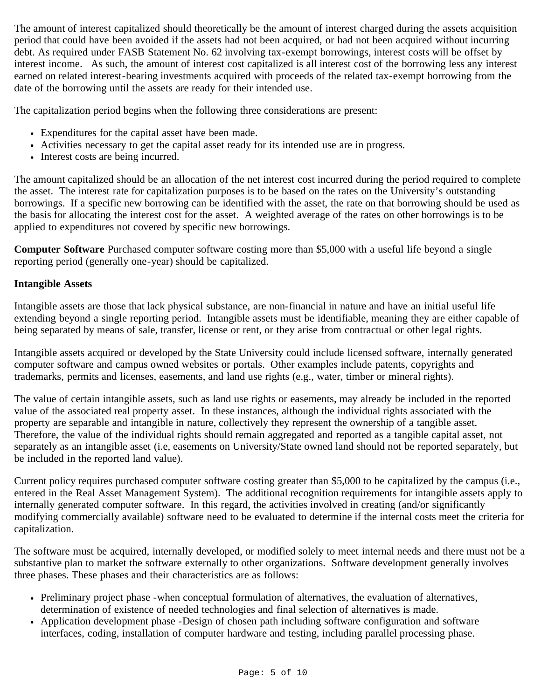The amount of interest capitalized should theoretically be the amount of interest charged during the assets acquisition period that could have been avoided if the assets had not been acquired, or had not been acquired without incurring debt. As required under FASB Statement No. 62 involving tax-exempt borrowings, interest costs will be offset by interest income. As such, the amount of interest cost capitalized is all interest cost of the borrowing less any interest earned on related interest-bearing investments acquired with proceeds of the related tax-exempt borrowing from the date of the borrowing until the assets are ready for their intended use.

The capitalization period begins when the following three considerations are present:

- Expenditures for the capital asset have been made.
- Activities necessary to get the capital asset ready for its intended use are in progress.
- Interest costs are being incurred.

The amount capitalized should be an allocation of the net interest cost incurred during the period required to complete the asset. The interest rate for capitalization purposes is to be based on the rates on the University's outstanding borrowings. If a specific new borrowing can be identified with the asset, the rate on that borrowing should be used as the basis for allocating the interest cost for the asset. A weighted average of the rates on other borrowings is to be applied to expenditures not covered by specific new borrowings.

**Computer Software** Purchased computer software costing more than \$5,000 with a useful life beyond a single reporting period (generally one-year) should be capitalized.

## **Intangible Assets**

Intangible assets are those that lack physical substance, are non-financial in nature and have an initial useful life extending beyond a single reporting period. Intangible assets must be identifiable, meaning they are either capable of being separated by means of sale, transfer, license or rent, or they arise from contractual or other legal rights.

Intangible assets acquired or developed by the State University could include licensed software, internally generated computer software and campus owned websites or portals. Other examples include patents, copyrights and trademarks, permits and licenses, easements, and land use rights (e.g., water, timber or mineral rights).

The value of certain intangible assets, such as land use rights or easements, may already be included in the reported value of the associated real property asset. In these instances, although the individual rights associated with the property are separable and intangible in nature, collectively they represent the ownership of a tangible asset. Therefore, the value of the individual rights should remain aggregated and reported as a tangible capital asset, not separately as an intangible asset (i.e, easements on University/State owned land should not be reported separately, but be included in the reported land value).

Current policy requires purchased computer software costing greater than \$5,000 to be capitalized by the campus (i.e., entered in the Real Asset Management System). The additional recognition requirements for intangible assets apply to internally generated computer software. In this regard, the activities involved in creating (and/or significantly modifying commercially available) software need to be evaluated to determine if the internal costs meet the criteria for capitalization.

The software must be acquired, internally developed, or modified solely to meet internal needs and there must not be a substantive plan to market the software externally to other organizations. Software development generally involves three phases. These phases and their characteristics are as follows:

- Preliminary project phase -when conceptual formulation of alternatives, the evaluation of alternatives, determination of existence of needed technologies and final selection of alternatives is made.
- Application development phase -Design of chosen path including software configuration and software interfaces, coding, installation of computer hardware and testing, including parallel processing phase.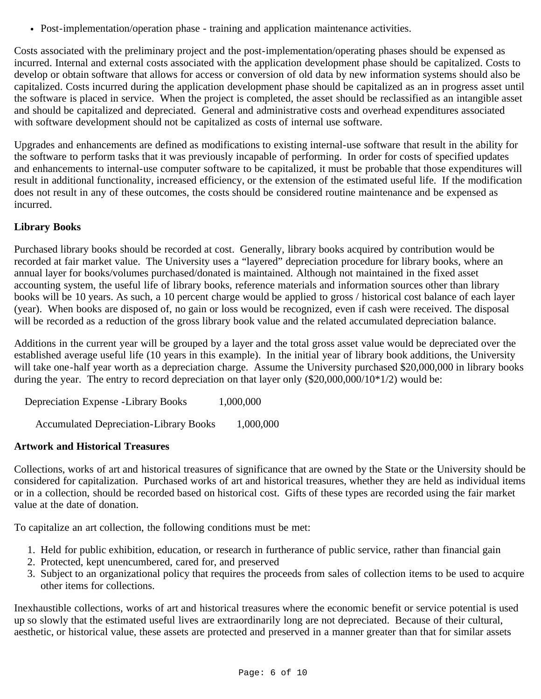Post-implementation/operation phase - training and application maintenance activities.

Costs associated with the preliminary project and the post-implementation/operating phases should be expensed as incurred. Internal and external costs associated with the application development phase should be capitalized. Costs to develop or obtain software that allows for access or conversion of old data by new information systems should also be capitalized. Costs incurred during the application development phase should be capitalized as an in progress asset until the software is placed in service. When the project is completed, the asset should be reclassified as an intangible asset and should be capitalized and depreciated. General and administrative costs and overhead expenditures associated with software development should not be capitalized as costs of internal use software.

Upgrades and enhancements are defined as modifications to existing internal-use software that result in the ability for the software to perform tasks that it was previously incapable of performing. In order for costs of specified updates and enhancements to internal-use computer software to be capitalized, it must be probable that those expenditures will result in additional functionality, increased efficiency, or the extension of the estimated useful life. If the modification does not result in any of these outcomes, the costs should be considered routine maintenance and be expensed as incurred.

## **Library Books**

Purchased library books should be recorded at cost. Generally, library books acquired by contribution would be recorded at fair market value. The University uses a "layered" depreciation procedure for library books, where an annual layer for books/volumes purchased/donated is maintained. Although not maintained in the fixed asset accounting system, the useful life of library books, reference materials and information sources other than library books will be 10 years. As such, a 10 percent charge would be applied to gross / historical cost balance of each layer (year). When books are disposed of, no gain or loss would be recognized, even if cash were received. The disposal will be recorded as a reduction of the gross library book value and the related accumulated depreciation balance.

Additions in the current year will be grouped by a layer and the total gross asset value would be depreciated over the established average useful life (10 years in this example). In the initial year of library book additions, the University will take one-half year worth as a depreciation charge. Assume the University purchased \$20,000,000 in library books during the year. The entry to record depreciation on that layer only  $(\$20,000,000/10^*1/2)$  would be:

Depreciation Expense -Library Books 1,000,000

Accumulated Depreciation-Library Books 1,000,000

## **Artwork and Historical Treasures**

Collections, works of art and historical treasures of significance that are owned by the State or the University should be considered for capitalization. Purchased works of art and historical treasures, whether they are held as individual items or in a collection, should be recorded based on historical cost. Gifts of these types are recorded using the fair market value at the date of donation.

To capitalize an art collection, the following conditions must be met:

- 1. Held for public exhibition, education, or research in furtherance of public service, rather than financial gain
- 2. Protected, kept unencumbered, cared for, and preserved
- 3. Subject to an organizational policy that requires the proceeds from sales of collection items to be used to acquire other items for collections.

Inexhaustible collections, works of art and historical treasures where the economic benefit or service potential is used up so slowly that the estimated useful lives are extraordinarily long are not depreciated. Because of their cultural, aesthetic, or historical value, these assets are protected and preserved in a manner greater than that for similar assets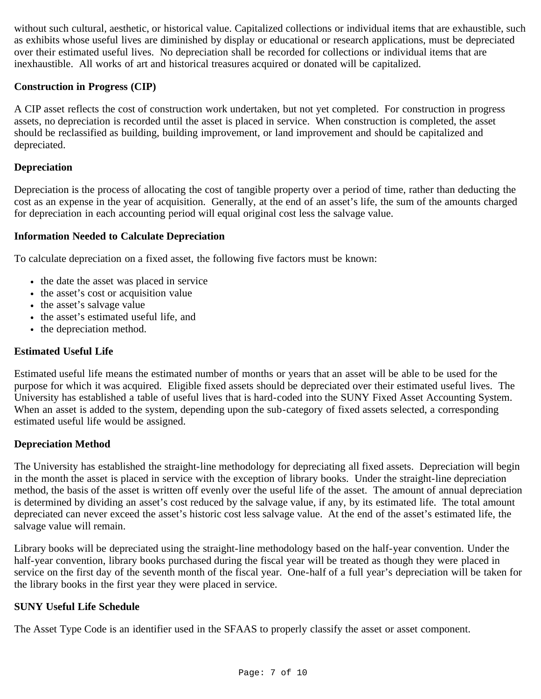without such cultural, aesthetic, or historical value. Capitalized collections or individual items that are exhaustible, such as exhibits whose useful lives are diminished by display or educational or research applications, must be depreciated over their estimated useful lives. No depreciation shall be recorded for collections or individual items that are inexhaustible. All works of art and historical treasures acquired or donated will be capitalized.

### **Construction in Progress (CIP)**

A CIP asset reflects the cost of construction work undertaken, but not yet completed. For construction in progress assets, no depreciation is recorded until the asset is placed in service. When construction is completed, the asset should be reclassified as building, building improvement, or land improvement and should be capitalized and depreciated.

### **Depreciation**

Depreciation is the process of allocating the cost of tangible property over a period of time, rather than deducting the cost as an expense in the year of acquisition. Generally, at the end of an asset's life, the sum of the amounts charged for depreciation in each accounting period will equal original cost less the salvage value.

### **Information Needed to Calculate Depreciation**

To calculate depreciation on a fixed asset, the following five factors must be known:

- the date the asset was placed in service
- the asset's cost or acquisition value
- the asset's salvage value
- the asset's estimated useful life, and
- the depreciation method.

#### **Estimated Useful Life**

Estimated useful life means the estimated number of months or years that an asset will be able to be used for the purpose for which it was acquired. Eligible fixed assets should be depreciated over their estimated useful lives. The University has established a table of useful lives that is hard-coded into the SUNY Fixed Asset Accounting System. When an asset is added to the system, depending upon the sub-category of fixed assets selected, a corresponding estimated useful life would be assigned.

### **Depreciation Method**

The University has established the straight-line methodology for depreciating all fixed assets. Depreciation will begin in the month the asset is placed in service with the exception of library books. Under the straight-line depreciation method, the basis of the asset is written off evenly over the useful life of the asset. The amount of annual depreciation is determined by dividing an asset's cost reduced by the salvage value, if any, by its estimated life. The total amount depreciated can never exceed the asset's historic cost less salvage value. At the end of the asset's estimated life, the salvage value will remain.

Library books will be depreciated using the straight-line methodology based on the half-year convention. Under the half-year convention, library books purchased during the fiscal year will be treated as though they were placed in service on the first day of the seventh month of the fiscal year. One-half of a full year's depreciation will be taken for the library books in the first year they were placed in service.

### **SUNY Useful Life Schedule**

The Asset Type Code is an identifier used in the SFAAS to properly classify the asset or asset component.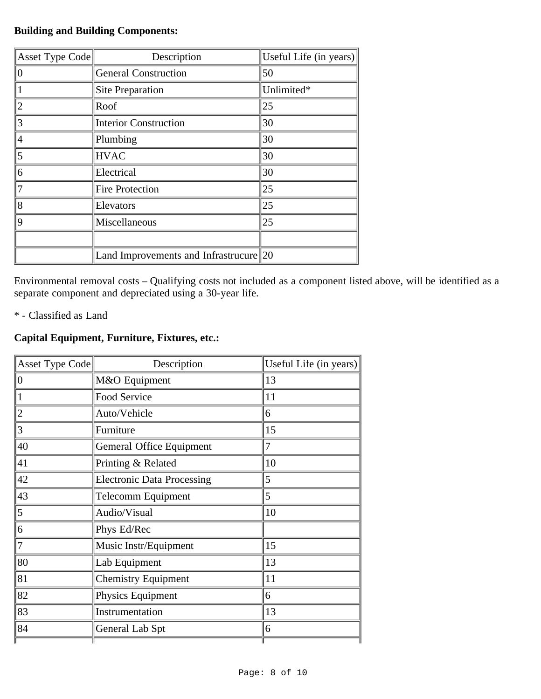# **Building and Building Components:**

| $\parallel$ Asset Type Code $\parallel$ | Description                               | Useful Life (in years) |
|-----------------------------------------|-------------------------------------------|------------------------|
| $\theta$                                | <b>General Construction</b>               | 50                     |
|                                         | Site Preparation                          | Unlimited*             |
| 2                                       | Roof                                      | 25                     |
| 3                                       | <b>Interior Construction</b>              | 30                     |
| 4                                       | Plumbing                                  | 30                     |
| 5                                       | <b>HVAC</b>                               | 30                     |
| 6                                       | Electrical                                | 30                     |
| 7                                       | <b>Fire Protection</b>                    | 25                     |
| 8                                       | Elevators                                 | 25                     |
| 9                                       | Miscellaneous                             | 25                     |
|                                         |                                           |                        |
|                                         | Land Improvements and Infrastrucure $ 20$ |                        |

Environmental removal costs – Qualifying costs not included as a component listed above, will be identified as a separate component and depreciated using a 30-year life.

\* - Classified as Land

# **Capital Equipment, Furniture, Fixtures, etc.:**

| Asset Type Code | Description                       | Useful Life (in years) |
|-----------------|-----------------------------------|------------------------|
| $\mathbf{0}$    | M&O Equipment                     | 13                     |
|                 | Food Service                      | 11                     |
| 2               | Auto/Vehicle                      | 6                      |
| 3               | Furniture                         | 15                     |
| 40              | Gemeral Office Equipment          | 7                      |
| 41              | Printing & Related                | 10                     |
| 42              | <b>Electronic Data Processing</b> | 5                      |
| 43              | <b>Telecomm Equipment</b>         | 5                      |
| 5               | Audio/Visual                      | 10                     |
| 6               | Phys Ed/Rec                       |                        |
|                 | Music Instr/Equipment             | 15                     |
| 80              | Lab Equipment                     | 13                     |
| 81              | <b>Chemistry Equipment</b>        | 11                     |
| 82              | Physics Equipment                 | 6                      |
| 83              | Instrumentation                   | 13                     |
| 84              | General Lab Spt                   | 6                      |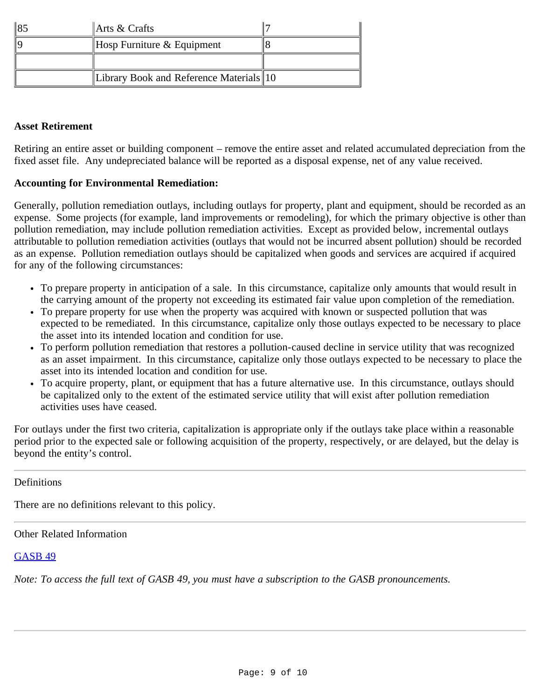| $\parallel$ Arts & Crafts               |  |
|-----------------------------------------|--|
| Hosp Furniture $&$ Equipment            |  |
|                                         |  |
| Library Book and Reference Materials 10 |  |

### **Asset Retirement**

Retiring an entire asset or building component – remove the entire asset and related accumulated depreciation from the fixed asset file. Any undepreciated balance will be reported as a disposal expense, net of any value received.

### **Accounting for Environmental Remediation:**

Generally, pollution remediation outlays, including outlays for property, plant and equipment, should be recorded as an expense. Some projects (for example, land improvements or remodeling), for which the primary objective is other than pollution remediation, may include pollution remediation activities. Except as provided below, incremental outlays attributable to pollution remediation activities (outlays that would not be incurred absent pollution) should be recorded as an expense. Pollution remediation outlays should be capitalized when goods and services are acquired if acquired for any of the following circumstances:

- To prepare property in anticipation of a sale. In this circumstance, capitalize only amounts that would result in the carrying amount of the property not exceeding its estimated fair value upon completion of the remediation.
- To prepare property for use when the property was acquired with known or suspected pollution that was expected to be remediated. In this circumstance, capitalize only those outlays expected to be necessary to place the asset into its intended location and condition for use.
- To perform pollution remediation that restores a pollution-caused decline in service utility that was recognized as an asset impairment. In this circumstance, capitalize only those outlays expected to be necessary to place the asset into its intended location and condition for use.
- To acquire property, plant, or equipment that has a future alternative use. In this circumstance, outlays should be capitalized only to the extent of the estimated service utility that will exist after pollution remediation activities uses have ceased.

For outlays under the first two criteria, capitalization is appropriate only if the outlays take place within a reasonable period prior to the expected sale or following acquisition of the property, respectively, or are delayed, but the delay is beyond the entity's control.

### <span id="page-8-0"></span>**Definitions**

There are no definitions relevant to this policy.

### <span id="page-8-1"></span>Other Related Information

### [GASB 49](http://www.gasb.org/st/summary/gstsm49.html)

*Note: To access the full text of GASB 49, you must have a subscription to the GASB pronouncements.*